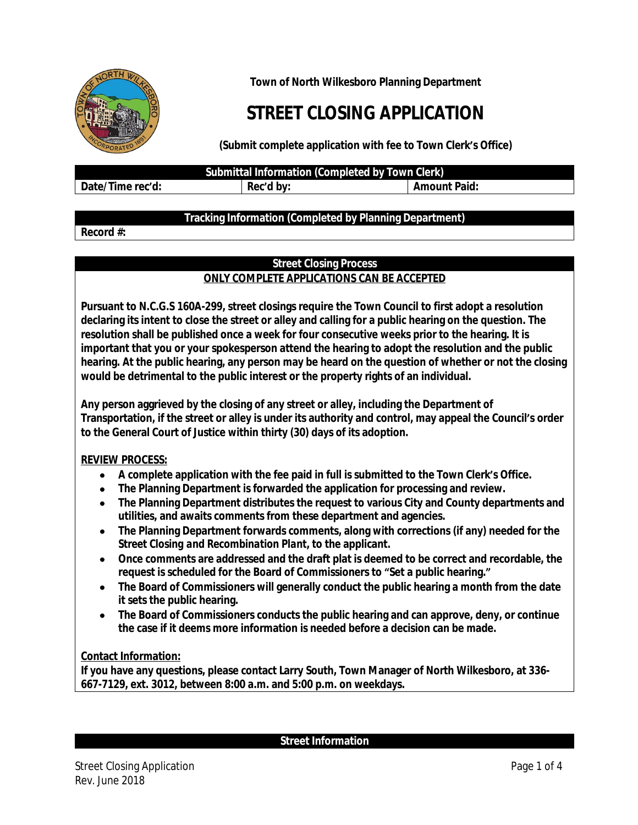

**Town of North Wilkesboro Planning Department**

# **STREET CLOSING APPLICATION**

**(Submit complete application with fee to Town Clerk's Office)**

**Submittal Information (Completed by Town Clerk)**

**Date/Time rec'd: Rec'd by: Amount Paid:**

# **Tracking Information (Completed by Planning Department)**

## **Record #:**

## **Street Closing Process ONLY COMPLETE APPLICATIONS CAN BE ACCEPTED**

**Pursuant to N.C.G.S 160A-299, street closings require the Town Council to first adopt a resolution declaring its intent to close the street or alley and calling for a public hearing on the question. The resolution shall be published once a week for four consecutive weeks prior to the hearing. It is important that you or your spokesperson attend the hearing to adopt the resolution and the public hearing. At the public hearing, any person may be heard on the question of whether or not the closing would be detrimental to the public interest or the property rights of an individual.**

**Any person aggrieved by the closing of any street or alley, including the Department of Transportation, if the street or alley is under its authority and control, may appeal the Council's order to the General Court of Justice within thirty (30) days of its adoption.**

## **REVIEW PROCESS:**

- **A complete application with the fee paid in full is submitted to the Town Clerk's Office.**
- **The Planning Department is forwarded the application for processing and review.**
- **The Planning Department distributes the request to various City and County departments and utilities, and awaits comments from these department and agencies.**
- **The Planning Department forwards comments, along with corrections (if any) needed for the**  *Street Closing and Recombination Plant***, to the applicant.**
- **Once comments are addressed and the draft plat is deemed to be correct and recordable, the request is scheduled for the Board of Commissioners to "Set a public hearing."**
- **The Board of Commissioners will generally conduct the public hearing a month from the date it sets the public hearing.**
- **The Board of Commissioners conducts the public hearing and can approve, deny, or continue the case if it deems more information is needed before a decision can be made.**

## **Contact Information:**

**If you have any questions, please contact Larry South, Town Manager of North Wilkesboro, at 336- 667-7129, ext. 3012, between 8:00 a.m. and 5:00 p.m. on weekdays.**

**Street Information**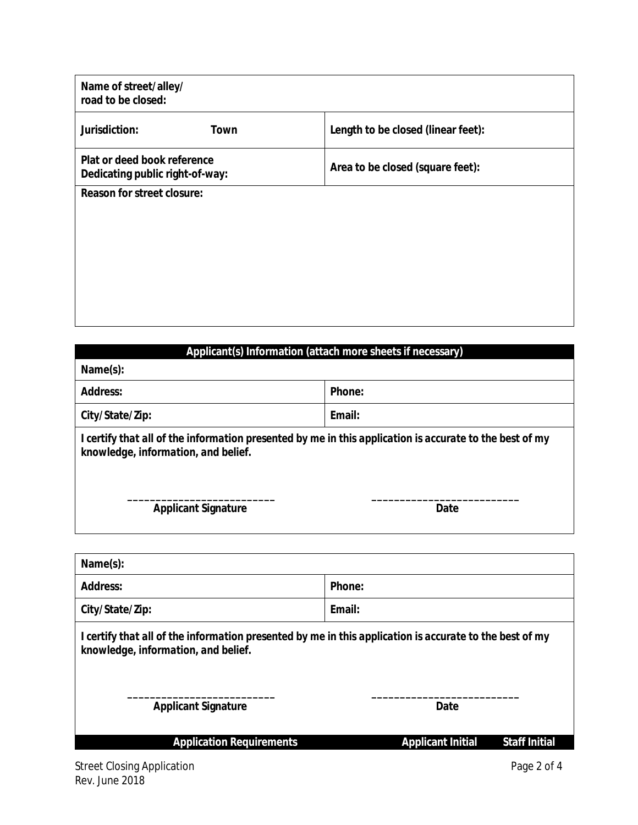| Name of street/alley/<br>road to be closed:                    |                                    |
|----------------------------------------------------------------|------------------------------------|
| Jurisdiction:<br>Town                                          | Length to be closed (linear feet): |
| Plat or deed book reference<br>Dedicating public right-of-way: | Area to be closed (square feet):   |
| <b>Reason for street closure:</b>                              |                                    |
|                                                                |                                    |
|                                                                |                                    |
|                                                                |                                    |
|                                                                |                                    |

| Applicant(s) Information (attach more sheets if necessary)                                                                                     |        |  |  |  |
|------------------------------------------------------------------------------------------------------------------------------------------------|--------|--|--|--|
| Name(s):                                                                                                                                       |        |  |  |  |
| <b>Address:</b>                                                                                                                                | Phone: |  |  |  |
| City/State/Zip:                                                                                                                                | Email: |  |  |  |
| I certify that all of the information presented by me in this application is accurate to the best of my<br>knowledge, information, and belief. |        |  |  |  |
| <b>Applicant Signature</b>                                                                                                                     | Date   |  |  |  |

| Name(s):                                                                                                                                       |                                                  |  |  |  |  |
|------------------------------------------------------------------------------------------------------------------------------------------------|--------------------------------------------------|--|--|--|--|
| <b>Address:</b>                                                                                                                                | Phone:                                           |  |  |  |  |
| City/State/Zip:                                                                                                                                | Email:                                           |  |  |  |  |
| I certify that all of the information presented by me in this application is accurate to the best of my<br>knowledge, information, and belief. |                                                  |  |  |  |  |
| <b>Applicant Signature</b>                                                                                                                     | Date                                             |  |  |  |  |
| <b>Application Requirements</b>                                                                                                                | <b>Staff Initial</b><br><b>Applicant Initial</b> |  |  |  |  |
|                                                                                                                                                |                                                  |  |  |  |  |

 $\overline{\phantom{a}}$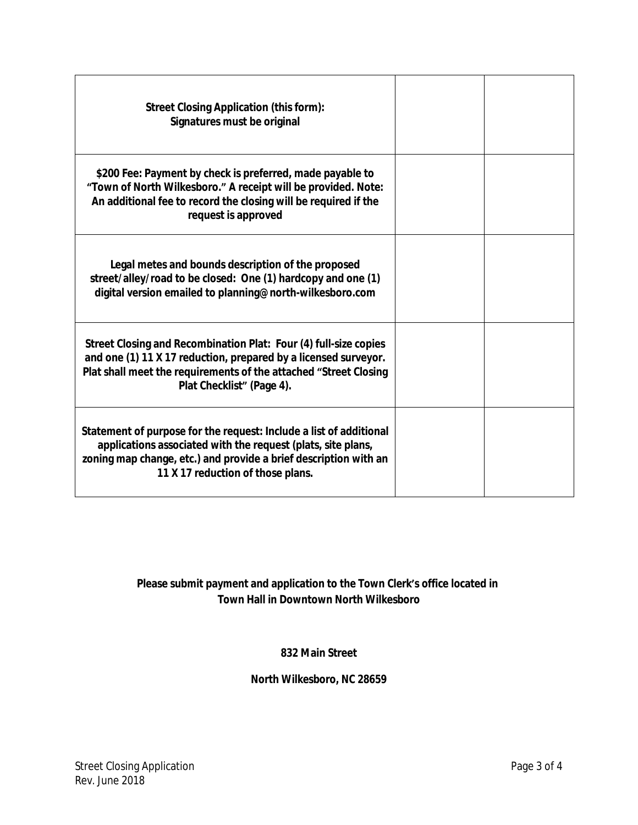| <b>Street Closing Application (this form):</b><br>Signatures must be original                                                                                                                                                               |  |
|---------------------------------------------------------------------------------------------------------------------------------------------------------------------------------------------------------------------------------------------|--|
| \$200 Fee: Payment by check is preferred, made payable to<br>"Town of North Wilkesboro." A receipt will be provided. Note:<br>An additional fee to record the closing will be required if the<br>request is approved                        |  |
| Legal metes and bounds description of the proposed<br>street/alley/road to be closed: One (1) hardcopy and one (1)<br>digital version emailed to planning@north-wilkesboro.com                                                              |  |
| Street Closing and Recombination Plat: Four (4) full-size copies<br>and one (1) 11 X 17 reduction, prepared by a licensed surveyor.<br>Plat shall meet the requirements of the attached "Street Closing<br>Plat Checklist" (Page 4).        |  |
| Statement of purpose for the request: Include a list of additional<br>applications associated with the request (plats, site plans,<br>zoning map change, etc.) and provide a brief description with an<br>11 X 17 reduction of those plans. |  |

# **Please submit payment and application to the Town Clerk's office located in Town Hall in Downtown North Wilkesboro**

## **832 Main Street**

# **North Wilkesboro, NC 28659**